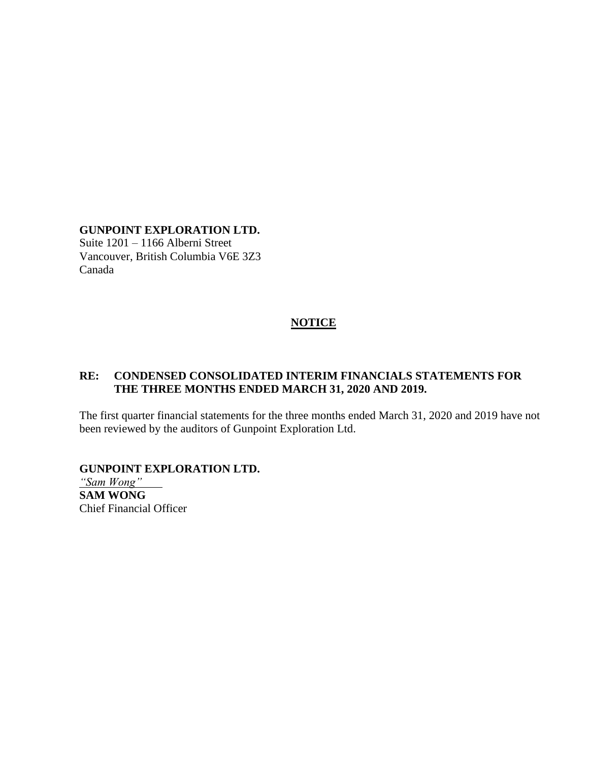### **GUNPOINT EXPLORATION LTD.**

Suite 1201 – 1166 Alberni Street Vancouver, British Columbia V6E 3Z3 Canada

### **NOTICE**

### **RE: CONDENSED CONSOLIDATED INTERIM FINANCIALS STATEMENTS FOR THE THREE MONTHS ENDED MARCH 31, 2020 AND 2019.**

The first quarter financial statements for the three months ended March 31, 2020 and 2019 have not been reviewed by the auditors of Gunpoint Exploration Ltd.

### **GUNPOINT EXPLORATION LTD.**

*"Sam Wong"* **SAM WONG** Chief Financial Officer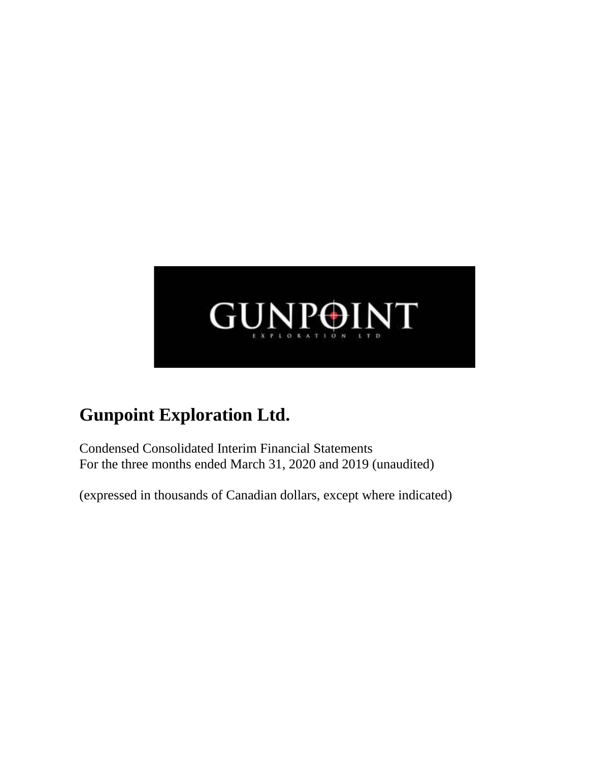

Condensed Consolidated Interim Financial Statements For the three months ended March 31, 2020 and 2019 (unaudited)

(expressed in thousands of Canadian dollars, except where indicated)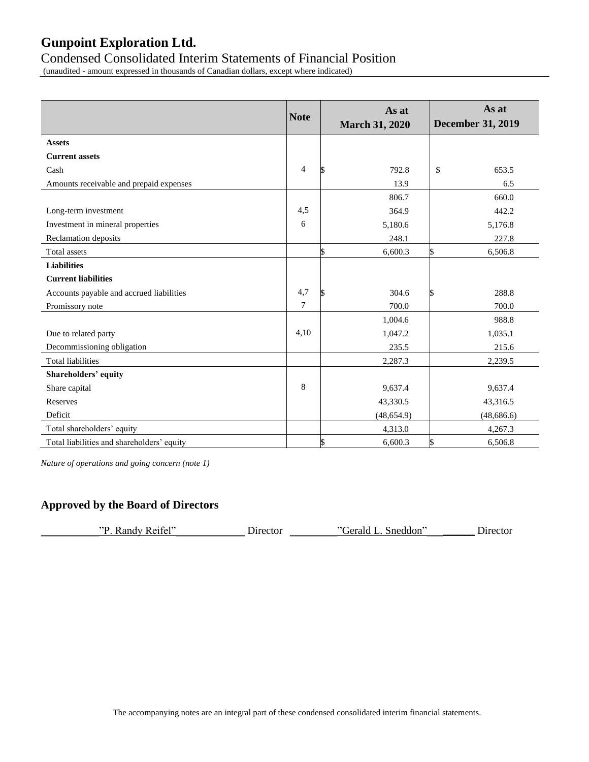### Condensed Consolidated Interim Statements of Financial Position

(unaudited - amount expressed in thousands of Canadian dollars, except where indicated)

|                                            | <b>Note</b>    | As at<br><b>March 31, 2020</b> | As at<br><b>December 31, 2019</b> |
|--------------------------------------------|----------------|--------------------------------|-----------------------------------|
| <b>Assets</b>                              |                |                                |                                   |
| <b>Current assets</b>                      |                |                                |                                   |
| Cash                                       | $\overline{4}$ | 792.8                          | \$<br>653.5                       |
| Amounts receivable and prepaid expenses    |                | 13.9                           | 6.5                               |
|                                            |                | 806.7                          | 660.0                             |
| Long-term investment                       | 4,5            | 364.9                          | 442.2                             |
| Investment in mineral properties           | 6              | 5,180.6                        | 5,176.8                           |
| Reclamation deposits                       |                | 248.1                          | 227.8                             |
| <b>Total</b> assets                        |                | 6,600.3                        | 6,506.8<br>S                      |
| <b>Liabilities</b>                         |                |                                |                                   |
| <b>Current liabilities</b>                 |                |                                |                                   |
| Accounts payable and accrued liabilities   | 4,7            | 304.6                          | 288.8<br>ь                        |
| Promissory note                            | $\overline{7}$ | 700.0                          | 700.0                             |
|                                            |                | 1,004.6                        | 988.8                             |
| Due to related party                       | 4,10           | 1,047.2                        | 1,035.1                           |
| Decommissioning obligation                 |                | 235.5                          | 215.6                             |
| <b>Total liabilities</b>                   |                | 2,287.3                        | 2,239.5                           |
| <b>Shareholders' equity</b>                |                |                                |                                   |
| Share capital                              | 8              | 9,637.4                        | 9,637.4                           |
| <b>Reserves</b>                            |                | 43,330.5                       | 43,316.5                          |
| Deficit                                    |                | (48, 654.9)                    | (48, 686.6)                       |
| Total shareholders' equity                 |                | 4,313.0                        | 4,267.3                           |
| Total liabilities and shareholders' equity |                | \$<br>6,600.3                  | 6,506.8                           |

*Nature of operations and going concern (note 1)*

### **Approved by the Board of Directors**

| $\angle$ . Randy Reifel"<br>תיי<br>Sneddon"<br>Gerald L.<br>Director | Director |
|----------------------------------------------------------------------|----------|
|----------------------------------------------------------------------|----------|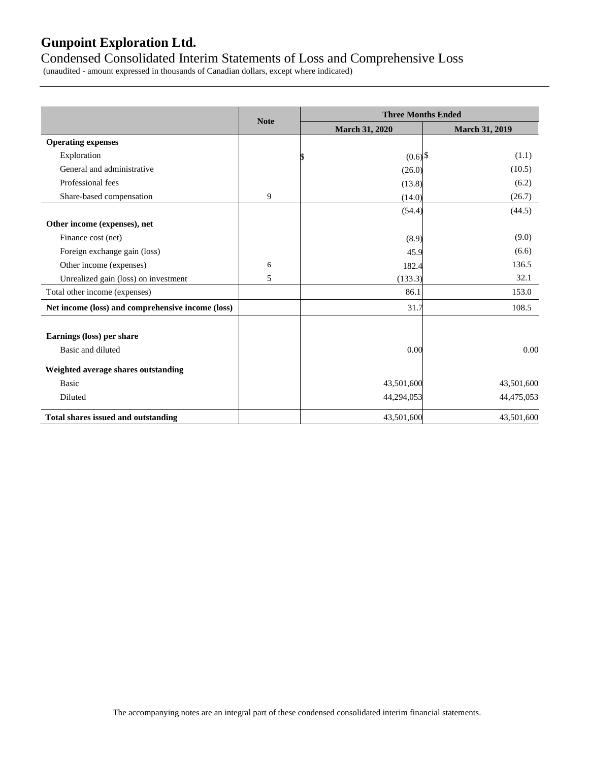### Condensed Consolidated Interim Statements of Loss and Comprehensive Loss

(unaudited - amount expressed in thousands of Canadian dollars, except where indicated)

|                                                   |             | <b>Three Months Ended</b> |                       |
|---------------------------------------------------|-------------|---------------------------|-----------------------|
|                                                   | <b>Note</b> | <b>March 31, 2020</b>     | <b>March 31, 2019</b> |
| <b>Operating expenses</b>                         |             |                           |                       |
| Exploration                                       |             | $(0.6)$ \$                | (1.1)                 |
| General and administrative                        |             | (26.0)                    | (10.5)                |
| Professional fees                                 |             | (13.8)                    | (6.2)                 |
| Share-based compensation                          | 9           | (14.0)                    | (26.7)                |
|                                                   |             | (54.4)                    | (44.5)                |
| Other income (expenses), net                      |             |                           |                       |
| Finance cost (net)                                |             | (8.9)                     | (9.0)                 |
| Foreign exchange gain (loss)                      |             | 45.9                      | (6.6)                 |
| Other income (expenses)                           | 6           | 182.4                     | 136.5                 |
| Unrealized gain (loss) on investment              | 5           | (133.3)                   | 32.1                  |
| Total other income (expenses)                     |             | 86.1                      | 153.0                 |
| Net income (loss) and comprehensive income (loss) |             | 31.7                      | 108.5                 |
| Earnings (loss) per share                         |             |                           |                       |
| Basic and diluted                                 |             | 0.00                      | 0.00                  |
| Weighted average shares outstanding               |             |                           |                       |
| <b>Basic</b>                                      |             | 43,501,600                | 43,501,600            |
| Diluted                                           |             | 44,294,053                | 44,475,053            |
| <b>Total shares issued and outstanding</b>        |             | 43,501,600                | 43,501,600            |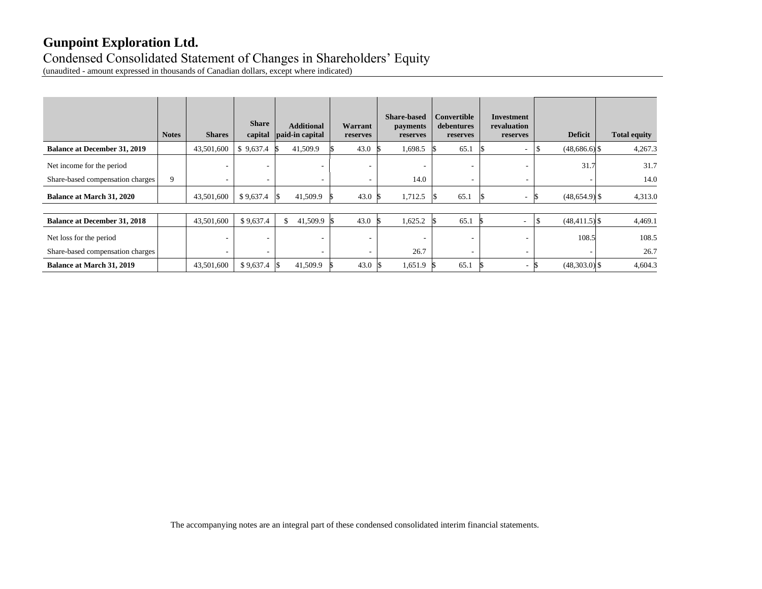### Condensed Consolidated Statement of Changes in Shareholders' Equity

(unaudited - amount expressed in thousands of Canadian dollars, except where indicated)

|                                     | <b>Notes</b> | <b>Shares</b>            | <b>Share</b><br>capital | <b>Additional</b><br>paid-in capital | Warrant<br>reserves      | <b>Share-based</b><br>payments<br>reserves | Convertible<br>debentures<br>reserves | Investment<br>revaluation<br>reserves | <b>Deficit</b>   | <b>Total equity</b> |
|-------------------------------------|--------------|--------------------------|-------------------------|--------------------------------------|--------------------------|--------------------------------------------|---------------------------------------|---------------------------------------|------------------|---------------------|
| <b>Balance at December 31, 2019</b> |              | 43,501,600               | \$9,637.4               | 41,509.9                             | 43.0                     | 1,698.5                                    | 65.1                                  | ۰                                     | $(48,686.6)$ \$  | 4,267.3             |
| Net income for the period           |              | ۰.                       | ۰                       |                                      |                          | $\overline{\phantom{a}}$                   | ۰                                     |                                       | 31.7             | 31.7                |
| Share-based compensation charges    | 9            | $\sim$                   | ۰                       |                                      | $\overline{\phantom{a}}$ | 14.0                                       | ۰                                     |                                       |                  | 14.0                |
| <b>Balance at March 31, 2020</b>    |              | 43,501,600               | \$9,637.4               | 41,509.9                             | 43.0                     | 1,712.5                                    | 65.1                                  | ۰.                                    | $(48,654.9)$ \$  | 4,313.0             |
|                                     |              |                          |                         |                                      |                          |                                            |                                       |                                       |                  |                     |
| <b>Balance at December 31, 2018</b> |              | 43,501,600               | \$9,637.4               | $41,509.9$ \$                        | 43.0                     | 1,625.2                                    | 65.1                                  | $\overline{\phantom{a}}$              | $(48, 411.5)$ \$ | 4,469.1             |
| Net loss for the period             |              | ۰                        | ٠                       |                                      | $\sim$                   | $\overline{\phantom{a}}$                   | ۰                                     | ۰                                     | 108.5            | 108.5               |
| Share-based compensation charges    |              | $\overline{\phantom{a}}$ | ٠                       | $\overline{\phantom{a}}$             | $\overline{\phantom{a}}$ | 26.7                                       | ۰                                     | ۰                                     |                  | 26.7                |
| <b>Balance at March 31, 2019</b>    |              | 43,501,600               | $$9,637.4$ \\$          | 41,509.9                             | 43.0                     | 1,651.9                                    | 65.1                                  | $\sim$                                | $(48,303.0)$ \$  | 4,604.3             |

The accompanying notes are an integral part of these condensed consolidated interim financial statements.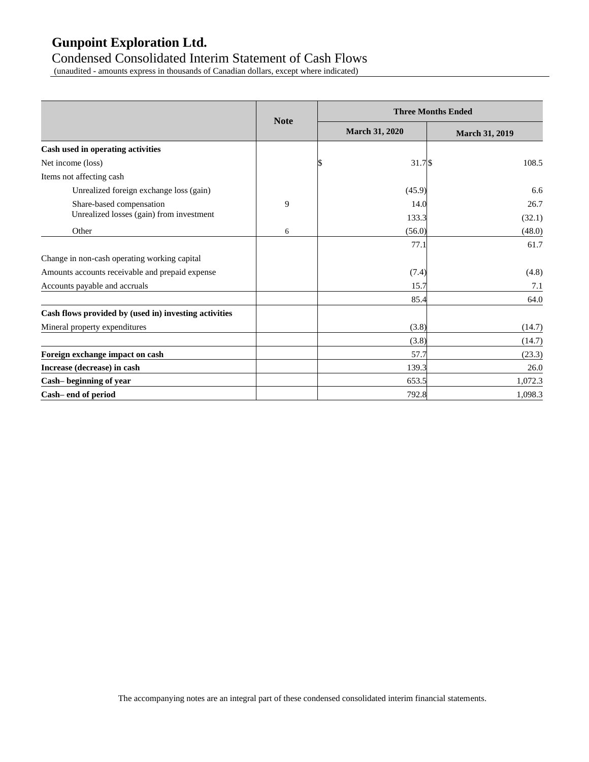### Condensed Consolidated Interim Statement of Cash Flows

(unaudited - amounts express in thousands of Canadian dollars, except where indicated)

|                                                       |             |                       | <b>Three Months Ended</b> |
|-------------------------------------------------------|-------------|-----------------------|---------------------------|
|                                                       | <b>Note</b> | <b>March 31, 2020</b> | <b>March 31, 2019</b>     |
| Cash used in operating activities                     |             |                       |                           |
| Net income (loss)                                     |             | $31.7$ \$             | 108.5                     |
| Items not affecting cash                              |             |                       |                           |
| Unrealized foreign exchange loss (gain)               |             | (45.9)                | 6.6                       |
| Share-based compensation                              | 9           | 14.0                  | 26.7                      |
| Unrealized losses (gain) from investment              |             | 133.3                 | (32.1)                    |
| Other                                                 | 6           | (56.0)                | (48.0)                    |
|                                                       |             | 77.1                  | 61.7                      |
| Change in non-cash operating working capital          |             |                       |                           |
| Amounts accounts receivable and prepaid expense       |             | (7.4)                 | (4.8)                     |
| Accounts payable and accruals                         |             | 15.7                  | 7.1                       |
|                                                       |             | 85.4                  | 64.0                      |
| Cash flows provided by (used in) investing activities |             |                       |                           |
| Mineral property expenditures                         |             | (3.8)                 | (14.7)                    |
|                                                       |             | (3.8)                 | (14.7)                    |
| Foreign exchange impact on cash                       |             | 57.7                  | (23.3)                    |
| Increase (decrease) in cash                           |             | 139.3                 | 26.0                      |
| Cash-beginning of year                                |             | 653.5                 | 1,072.3                   |
| Cash-end of period                                    |             | 792.8                 | 1,098.3                   |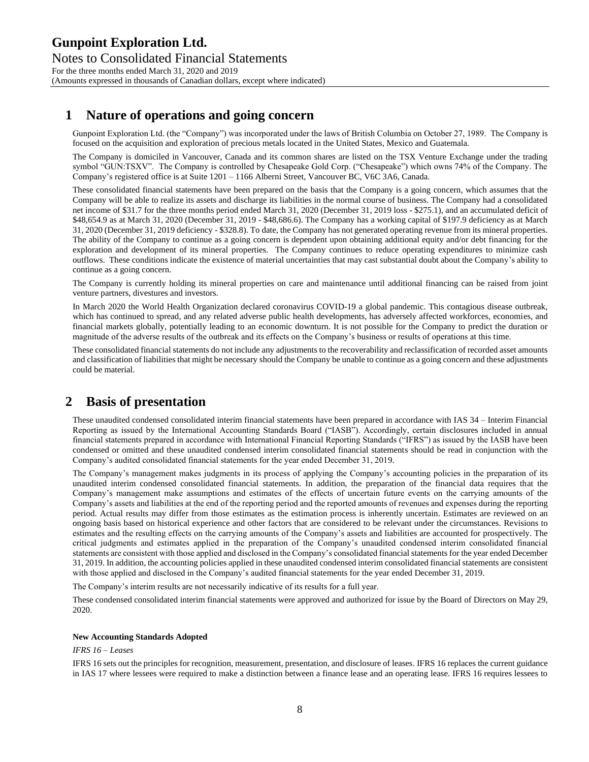### **1 Nature of operations and going concern**

Gunpoint Exploration Ltd. (the "Company") was incorporated under the laws of British Columbia on October 27, 1989. The Company is focused on the acquisition and exploration of precious metals located in the United States, Mexico and Guatemala.

The Company is domiciled in Vancouver, Canada and its common shares are listed on the TSX Venture Exchange under the trading symbol "GUN:TSXV". The Company is controlled by Chesapeake Gold Corp. ("Chesapeake") which owns 74% of the Company. The Company's registered office is at Suite 1201 – 1166 Alberni Street, Vancouver BC, V6C 3A6, Canada.

These consolidated financial statements have been prepared on the basis that the Company is a going concern, which assumes that the Company will be able to realize its assets and discharge its liabilities in the normal course of business. The Company had a consolidated net income of \$31.7 for the three months period ended March 31, 2020 (December 31, 2019 loss - \$275.1), and an accumulated deficit of \$48,654.9 as at March 31, 2020 (December 31, 2019 - \$48,686.6). The Company has a working capital of \$197.9 deficiency as at March 31, 2020 (December 31, 2019 deficiency - \$328.8). To date, the Company has not generated operating revenue from its mineral properties. The ability of the Company to continue as a going concern is dependent upon obtaining additional equity and/or debt financing for the exploration and development of its mineral properties. The Company continues to reduce operating expenditures to minimize cash outflows. These conditions indicate the existence of material uncertainties that may cast substantial doubt about the Company's ability to continue as a going concern.

The Company is currently holding its mineral properties on care and maintenance until additional financing can be raised from joint venture partners, divestures and investors.

In March 2020 the World Health Organization declared coronavirus COVID-19 a global pandemic. This contagious disease outbreak, which has continued to spread, and any related adverse public health developments, has adversely affected workforces, economies, and financial markets globally, potentially leading to an economic downturn. It is not possible for the Company to predict the duration or magnitude of the adverse results of the outbreak and its effects on the Company's business or results of operations at this time.

These consolidated financial statements do not include any adjustments to the recoverability and reclassification of recorded asset amounts and classification of liabilities that might be necessary should the Company be unable to continue as a going concern and these adjustments could be material.

### **2 Basis of presentation**

These unaudited condensed consolidated interim financial statements have been prepared in accordance with IAS 34 – Interim Financial Reporting as issued by the International Accounting Standards Board ("IASB"). Accordingly, certain disclosures included in annual financial statements prepared in accordance with International Financial Reporting Standards ("IFRS") as issued by the IASB have been condensed or omitted and these unaudited condensed interim consolidated financial statements should be read in conjunction with the Company's audited consolidated financial statements for the year ended December 31, 2019.

The Company's management makes judgments in its process of applying the Company's accounting policies in the preparation of its unaudited interim condensed consolidated financial statements. In addition, the preparation of the financial data requires that the Company's management make assumptions and estimates of the effects of uncertain future events on the carrying amounts of the Company's assets and liabilities at the end of the reporting period and the reported amounts of revenues and expenses during the reporting period. Actual results may differ from those estimates as the estimation process is inherently uncertain. Estimates are reviewed on an ongoing basis based on historical experience and other factors that are considered to be relevant under the circumstances. Revisions to estimates and the resulting effects on the carrying amounts of the Company's assets and liabilities are accounted for prospectively. The critical judgments and estimates applied in the preparation of the Company's unaudited condensed interim consolidated financial statements are consistent with those applied and disclosed in the Company's consolidated financial statements for the year ended December 31, 2019. In addition, the accounting policies applied in these unaudited condensed interim consolidated financial statements are consistent with those applied and disclosed in the Company's audited financial statements for the year ended December 31, 2019.

The Company's interim results are not necessarily indicative of its results for a full year.

These condensed consolidated interim financial statements were approved and authorized for issue by the Board of Directors on May 29, 2020.

#### **New Accounting Standards Adopted**

#### *IFRS 16 – Leases*

IFRS 16 sets out the principles for recognition, measurement, presentation, and disclosure of leases. IFRS 16 replaces the current guidance in IAS 17 where lessees were required to make a distinction between a finance lease and an operating lease. IFRS 16 requires lessees to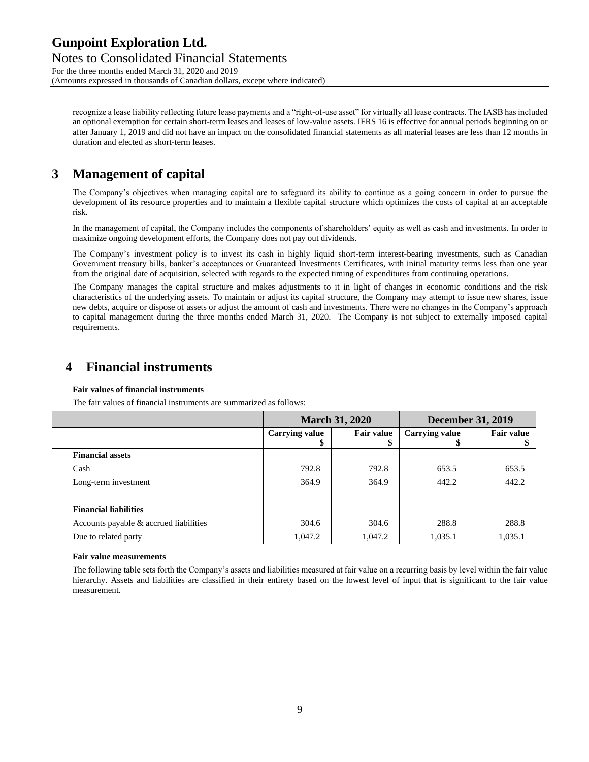Notes to Consolidated Financial Statements For the three months ended March 31, 2020 and 2019 (Amounts expressed in thousands of Canadian dollars, except where indicated)

recognize a lease liability reflecting future lease payments and a "right-of-use asset" for virtually all lease contracts. The IASB has included an optional exemption for certain short-term leases and leases of low-value assets. IFRS 16 is effective for annual periods beginning on or after January 1, 2019 and did not have an impact on the consolidated financial statements as all material leases are less than 12 months in duration and elected as short-term leases.

### **3 Management of capital**

The Company's objectives when managing capital are to safeguard its ability to continue as a going concern in order to pursue the development of its resource properties and to maintain a flexible capital structure which optimizes the costs of capital at an acceptable risk.

In the management of capital, the Company includes the components of shareholders' equity as well as cash and investments. In order to maximize ongoing development efforts, the Company does not pay out dividends.

The Company's investment policy is to invest its cash in highly liquid short-term interest-bearing investments, such as Canadian Government treasury bills, banker's acceptances or Guaranteed Investments Certificates, with initial maturity terms less than one year from the original date of acquisition, selected with regards to the expected timing of expenditures from continuing operations.

The Company manages the capital structure and makes adjustments to it in light of changes in economic conditions and the risk characteristics of the underlying assets. To maintain or adjust its capital structure, the Company may attempt to issue new shares, issue new debts, acquire or dispose of assets or adjust the amount of cash and investments. There were no changes in the Company's approach to capital management during the three months ended March 31, 2020. The Company is not subject to externally imposed capital requirements.

### **4 Financial instruments**

#### **Fair values of financial instruments**

The fair values of financial instruments are summarized as follows:

|                                        |                             | <b>March 31, 2020</b>   | <b>December 31, 2019</b>    |                   |  |
|----------------------------------------|-----------------------------|-------------------------|-----------------------------|-------------------|--|
|                                        | <b>Carrying value</b><br>۰D | <b>Fair value</b><br>\$ | <b>Carrying value</b><br>\$ | <b>Fair value</b> |  |
| <b>Financial assets</b>                |                             |                         |                             |                   |  |
| Cash                                   | 792.8                       | 792.8                   | 653.5                       | 653.5             |  |
| Long-term investment                   | 364.9                       | 364.9                   | 442.2                       | 442.2             |  |
| <b>Financial liabilities</b>           |                             |                         |                             |                   |  |
| Accounts payable & accrued liabilities | 304.6                       | 304.6                   | 288.8                       | 288.8             |  |
| Due to related party                   | 1,047.2                     | 1,047.2                 | 1,035.1                     | 1,035.1           |  |

#### **Fair value measurements**

The following table sets forth the Company's assets and liabilities measured at fair value on a recurring basis by level within the fair value hierarchy. Assets and liabilities are classified in their entirety based on the lowest level of input that is significant to the fair value measurement.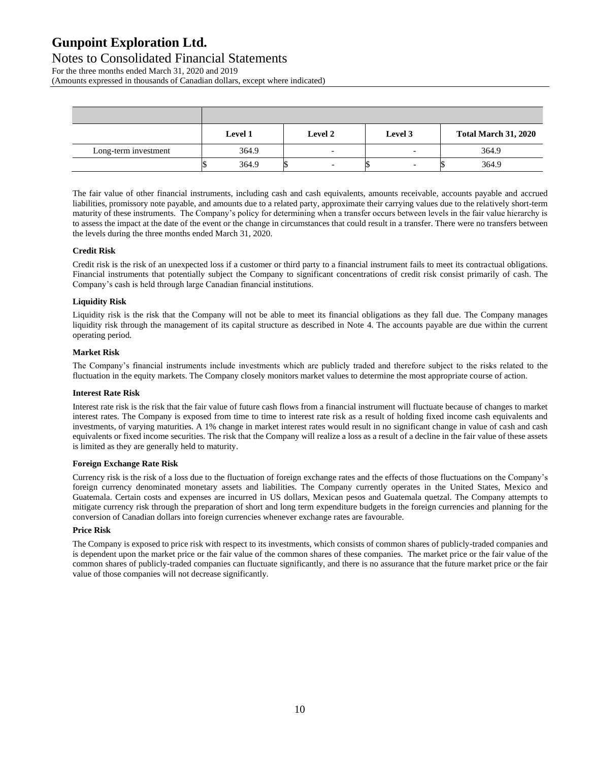#### Notes to Consolidated Financial Statements For the three months ended March 31, 2020 and 2019

(Amounts expressed in thousands of Canadian dollars, except where indicated)

|                      | Level 1 | <b>Level 2</b>           | Level 3 | <b>Total March 31, 2020</b> |
|----------------------|---------|--------------------------|---------|-----------------------------|
| Long-term investment | 364.9   | $\overline{\phantom{0}}$ | -       | 364.9                       |
|                      | 364.9   |                          |         | 364.9                       |

The fair value of other financial instruments, including cash and cash equivalents, amounts receivable, accounts payable and accrued liabilities, promissory note payable, and amounts due to a related party, approximate their carrying values due to the relatively short-term maturity of these instruments. The Company's policy for determining when a transfer occurs between levels in the fair value hierarchy is to assess the impact at the date of the event or the change in circumstances that could result in a transfer. There were no transfers between the levels during the three months ended March 31, 2020.

#### **Credit Risk**

Credit risk is the risk of an unexpected loss if a customer or third party to a financial instrument fails to meet its contractual obligations. Financial instruments that potentially subject the Company to significant concentrations of credit risk consist primarily of cash. The Company's cash is held through large Canadian financial institutions.

#### **Liquidity Risk**

Liquidity risk is the risk that the Company will not be able to meet its financial obligations as they fall due. The Company manages liquidity risk through the management of its capital structure as described in Note 4. The accounts payable are due within the current operating period.

#### **Market Risk**

The Company's financial instruments include investments which are publicly traded and therefore subject to the risks related to the fluctuation in the equity markets. The Company closely monitors market values to determine the most appropriate course of action.

#### **Interest Rate Risk**

Interest rate risk is the risk that the fair value of future cash flows from a financial instrument will fluctuate because of changes to market interest rates. The Company is exposed from time to time to interest rate risk as a result of holding fixed income cash equivalents and investments, of varying maturities. A 1% change in market interest rates would result in no significant change in value of cash and cash equivalents or fixed income securities. The risk that the Company will realize a loss as a result of a decline in the fair value of these assets is limited as they are generally held to maturity.

#### **Foreign Exchange Rate Risk**

Currency risk is the risk of a loss due to the fluctuation of foreign exchange rates and the effects of those fluctuations on the Company's foreign currency denominated monetary assets and liabilities. The Company currently operates in the United States, Mexico and Guatemala. Certain costs and expenses are incurred in US dollars, Mexican pesos and Guatemala quetzal. The Company attempts to mitigate currency risk through the preparation of short and long term expenditure budgets in the foreign currencies and planning for the conversion of Canadian dollars into foreign currencies whenever exchange rates are favourable.

#### **Price Risk**

The Company is exposed to price risk with respect to its investments, which consists of common shares of publicly-traded companies and is dependent upon the market price or the fair value of the common shares of these companies. The market price or the fair value of the common shares of publicly-traded companies can fluctuate significantly, and there is no assurance that the future market price or the fair value of those companies will not decrease significantly.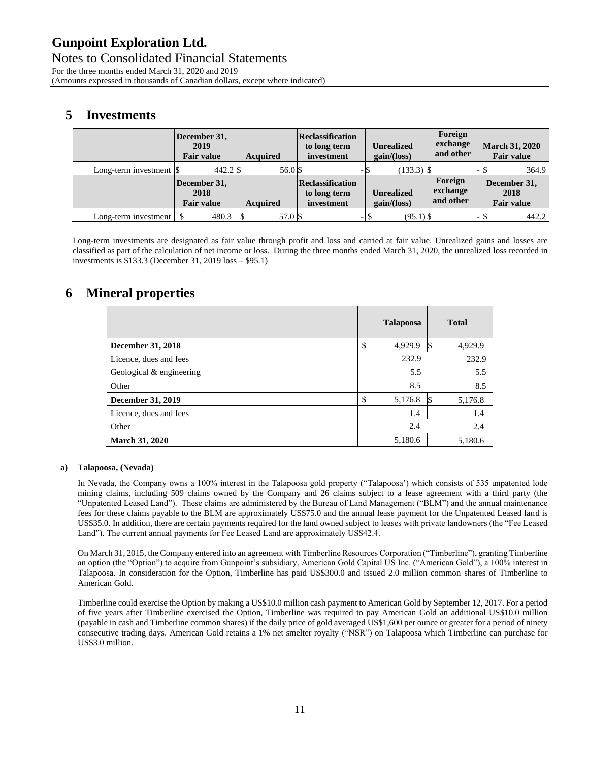Notes to Consolidated Financial Statements For the three months ended March 31, 2020 and 2019 (Amounts expressed in thousands of Canadian dollars, except where indicated)

### **5 Investments**

|                                                | December 31,<br>2019<br><b>Fair value</b> | <b>Acquired</b> | Reclassification<br>to long term<br>investment | <b>Unrealized</b><br>gain/(loss) | Foreign<br>exchange<br>and other | <b>March 31, 2020</b><br><b>Fair value</b> |
|------------------------------------------------|-------------------------------------------|-----------------|------------------------------------------------|----------------------------------|----------------------------------|--------------------------------------------|
| Long-term investment $\vert \mathcal{S} \vert$ | $442.2$ \$                                | 56.0 \$         | -13                                            | $(133.3)$ \$                     |                                  | 364.9                                      |
|                                                | December 31,<br>2018<br><b>Fair value</b> | <b>Acquired</b> | Reclassification<br>to long term<br>investment | <b>Unrealized</b><br>gain/(loss) | Foreign<br>exchange<br>and other | December 31,<br>2018<br><b>Fair value</b>  |
| Long-term investment                           |                                           | 57.0 \$         | - 1                                            | $(95.1)$ \$<br>. S               |                                  | 442.2                                      |

Long-term investments are designated as fair value through profit and loss and carried at fair value. Unrealized gains and losses are classified as part of the calculation of net income or loss. During the three months ended March 31, 2020, the unrealized loss recorded in investments is \$133.3 (December 31, 2019 loss – \$95.1)

### **6 Mineral properties**

|                          | <b>Talapoosa</b> |    | <b>Total</b> |
|--------------------------|------------------|----|--------------|
| <b>December 31, 2018</b> | \$<br>4,929.9    | ß. | 4,929.9      |
| Licence, dues and fees   | 232.9            |    | 232.9        |
| Geological & engineering | 5.5              |    | 5.5          |
| Other                    | 8.5              |    | 8.5          |
| <b>December 31, 2019</b> | \$<br>5,176.8    | ß. | 5,176.8      |
| Licence, dues and fees   | 1.4              |    | 1.4          |
| Other                    | 2.4              |    | 2.4          |
| <b>March 31, 2020</b>    | 5,180.6          |    | 5,180.6      |

#### **a) Talapoosa, (Nevada)**

In Nevada, the Company owns a 100% interest in the Talapoosa gold property ("Talapoosa') which consists of 535 unpatented lode mining claims, including 509 claims owned by the Company and 26 claims subject to a lease agreement with a third party (the "Unpatented Leased Land"). These claims are administered by the Bureau of Land Management ("BLM") and the annual maintenance fees for these claims payable to the BLM are approximately US\$75.0 and the annual lease payment for the Unpatented Leased land is US\$35.0. In addition, there are certain payments required for the land owned subject to leases with private landowners (the "Fee Leased Land"). The current annual payments for Fee Leased Land are approximately US\$42.4.

On March 31, 2015, the Company entered into an agreement with Timberline Resources Corporation ("Timberline"), granting Timberline an option (the "Option") to acquire from Gunpoint's subsidiary, American Gold Capital US Inc. ("American Gold"), a 100% interest in Talapoosa. In consideration for the Option, Timberline has paid US\$300.0 and issued 2.0 million common shares of Timberline to American Gold.

Timberline could exercise the Option by making a US\$10.0 million cash payment to American Gold by September 12, 2017. For a period of five years after Timberline exercised the Option, Timberline was required to pay American Gold an additional US\$10.0 million (payable in cash and Timberline common shares) if the daily price of gold averaged US\$1,600 per ounce or greater for a period of ninety consecutive trading days. American Gold retains a 1% net smelter royalty ("NSR") on Talapoosa which Timberline can purchase for US\$3.0 million.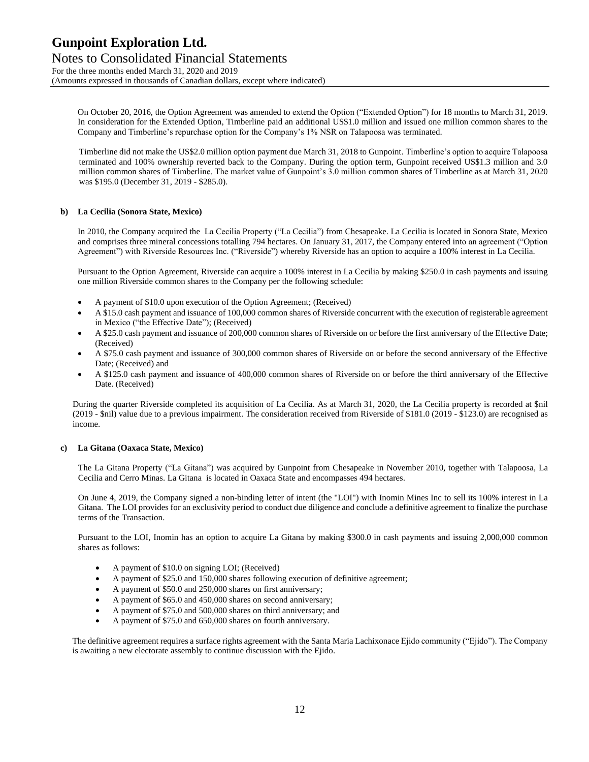Notes to Consolidated Financial Statements For the three months ended March 31, 2020 and 2019 (Amounts expressed in thousands of Canadian dollars, except where indicated)

On October 20, 2016, the Option Agreement was amended to extend the Option ("Extended Option") for 18 months to March 31, 2019. In consideration for the Extended Option, Timberline paid an additional US\$1.0 million and issued one million common shares to the Company and Timberline's repurchase option for the Company's 1% NSR on Talapoosa was terminated.

Timberline did not make the US\$2.0 million option payment due March 31, 2018 to Gunpoint. Timberline's option to acquire Talapoosa terminated and 100% ownership reverted back to the Company. During the option term, Gunpoint received US\$1.3 million and 3.0 million common shares of Timberline. The market value of Gunpoint's 3.0 million common shares of Timberline as at March 31, 2020 was \$195.0 (December 31, 2019 - \$285.0).

#### **b) La Cecilia (Sonora State, Mexico)**

In 2010, the Company acquired the La Cecilia Property ("La Cecilia") from Chesapeake. La Cecilia is located in Sonora State, Mexico and comprises three mineral concessions totalling 794 hectares. On January 31, 2017, the Company entered into an agreement ("Option Agreement") with Riverside Resources Inc. ("Riverside") whereby Riverside has an option to acquire a 100% interest in La Cecilia.

Pursuant to the Option Agreement, Riverside can acquire a 100% interest in La Cecilia by making \$250.0 in cash payments and issuing one million Riverside common shares to the Company per the following schedule:

- A payment of \$10.0 upon execution of the Option Agreement; (Received)
- A \$15.0 cash payment and issuance of 100,000 common shares of Riverside concurrent with the execution of registerable agreement in Mexico ("the Effective Date"); (Received)
- A \$25.0 cash payment and issuance of 200,000 common shares of Riverside on or before the first anniversary of the Effective Date; (Received)
- A \$75.0 cash payment and issuance of 300,000 common shares of Riverside on or before the second anniversary of the Effective Date; (Received) and
- A \$125.0 cash payment and issuance of 400,000 common shares of Riverside on or before the third anniversary of the Effective Date. (Received)

During the quarter Riverside completed its acquisition of La Cecilia. As at March 31, 2020, the La Cecilia property is recorded at \$nil (2019 - \$nil) value due to a previous impairment. The consideration received from Riverside of \$181.0 (2019 - \$123.0) are recognised as income.

#### **c) La Gitana (Oaxaca State, Mexico)**

The La Gitana Property ("La Gitana") was acquired by Gunpoint from Chesapeake in November 2010, together with Talapoosa, La Cecilia and Cerro Minas. La Gitana is located in Oaxaca State and encompasses 494 hectares.

On June 4, 2019, the Company signed a non-binding letter of intent (the "LOI") with Inomin Mines Inc to sell its 100% interest in La Gitana. The LOI provides for an exclusivity period to conduct due diligence and conclude a definitive agreement to finalize the purchase terms of the Transaction.

Pursuant to the LOI, Inomin has an option to acquire La Gitana by making \$300.0 in cash payments and issuing 2,000,000 common shares as follows:

- A payment of \$10.0 on signing LOI; (Received)
- A payment of \$25.0 and 150,000 shares following execution of definitive agreement;
- A payment of \$50.0 and 250,000 shares on first anniversary;
- A payment of \$65.0 and 450,000 shares on second anniversary;
- A payment of \$75.0 and 500,000 shares on third anniversary; and
- A payment of \$75.0 and 650,000 shares on fourth anniversary.

The definitive agreement requires a surface rights agreement with the Santa Maria Lachixonace Ejido community ("Ejido"). The Company is awaiting a new electorate assembly to continue discussion with the Ejido.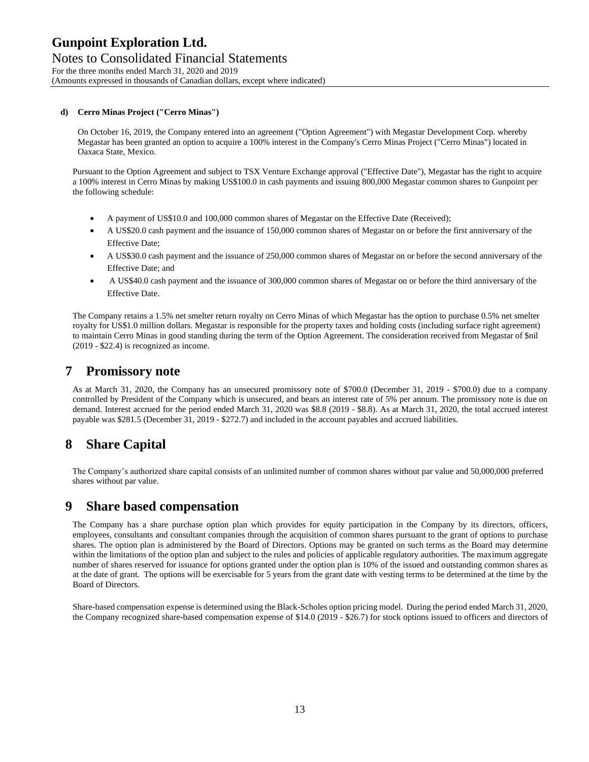Notes to Consolidated Financial Statements For the three months ended March 31, 2020 and 2019 (Amounts expressed in thousands of Canadian dollars, except where indicated)

#### **d) Cerro Minas Project ("Cerro Minas")**

On October 16, 2019, the Company entered into an agreement ("Option Agreement") with Megastar Development Corp. whereby Megastar has been granted an option to acquire a 100% interest in the Company's Cerro Minas Project ("Cerro Minas") located in Oaxaca State, Mexico.

Pursuant to the Option Agreement and subject to TSX Venture Exchange approval ("Effective Date"), Megastar has the right to acquire a 100% interest in Cerro Minas by making US\$100.0 in cash payments and issuing 800,000 Megastar common shares to Gunpoint per the following schedule:

- A payment of US\$10.0 and 100,000 common shares of Megastar on the Effective Date (Received);
- A US\$20.0 cash payment and the issuance of 150,000 common shares of Megastar on or before the first anniversary of the Effective Date;
- A US\$30.0 cash payment and the issuance of 250,000 common shares of Megastar on or before the second anniversary of the Effective Date; and
- A US\$40.0 cash payment and the issuance of 300,000 common shares of Megastar on or before the third anniversary of the Effective Date.

The Company retains a 1.5% net smelter return royalty on Cerro Minas of which Megastar has the option to purchase 0.5% net smelter royalty for US\$1.0 million dollars. Megastar is responsible for the property taxes and holding costs (including surface right agreement) to maintain Cerro Minas in good standing during the term of the Option Agreement. The consideration received from Megastar of \$nil (2019 - \$22.4) is recognized as income.

### **7 Promissory note**

As at March 31, 2020, the Company has an unsecured promissory note of \$700.0 (December 31, 2019 - \$700.0) due to a company controlled by President of the Company which is unsecured, and bears an interest rate of 5% per annum. The promissory note is due on demand. Interest accrued for the period ended March 31, 2020 was \$8.8 (2019 - \$8.8). As at March 31, 2020, the total accrued interest payable was \$281.5 (December 31, 2019 - \$272.7) and included in the account payables and accrued liabilities.

### **8 Share Capital**

The Company's authorized share capital consists of an unlimited number of common shares without par value and 50,000,000 preferred shares without par value.

### **9 Share based compensation**

The Company has a share purchase option plan which provides for equity participation in the Company by its directors, officers, employees, consultants and consultant companies through the acquisition of common shares pursuant to the grant of options to purchase shares. The option plan is administered by the Board of Directors. Options may be granted on such terms as the Board may determine within the limitations of the option plan and subject to the rules and policies of applicable regulatory authorities. The maximum aggregate number of shares reserved for issuance for options granted under the option plan is 10% of the issued and outstanding common shares as at the date of grant. The options will be exercisable for 5 years from the grant date with vesting terms to be determined at the time by the Board of Directors.

Share-based compensation expense is determined using the Black-Scholes option pricing model. During the period ended March 31, 2020, the Company recognized share-based compensation expense of \$14.0 (2019 - \$26.7) for stock options issued to officers and directors of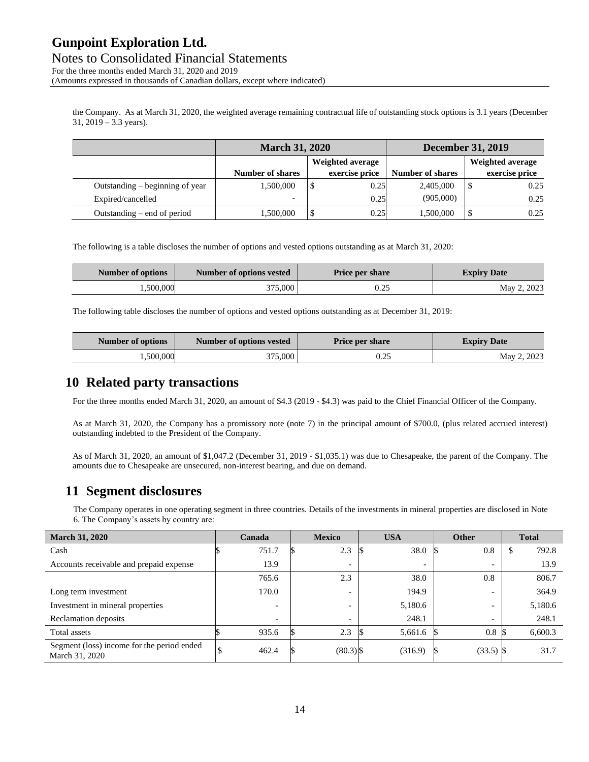Notes to Consolidated Financial Statements For the three months ended March 31, 2020 and 2019 (Amounts expressed in thousands of Canadian dollars, except where indicated)

the Company. As at March 31, 2020, the weighted average remaining contractual life of outstanding stock options is 3.1 years (December 31, 2019 – 3.3 years).

|                                 | <b>March 31, 2020</b>   | <b>December 31, 2019</b> |                |                         |                |
|---------------------------------|-------------------------|--------------------------|----------------|-------------------------|----------------|
|                                 | Weighted average        |                          |                | Weighted average        |                |
|                                 | <b>Number of shares</b> |                          | exercise price | <b>Number of shares</b> | exercise price |
| Outstanding – beginning of year | 1,500,000               | \$                       | 0.25           | 2,405,000               | 0.25           |
| Expired/cancelled               | -                       |                          | 0.25           | (905,000)               | 0.25           |
| Outstanding $-$ end of period   | 1.500.000               |                          | 0.25           | 1,500,000               | 0.25           |

The following is a table discloses the number of options and vested options outstanding as at March 31, 2020:

| Number of options | Number of options vested | <b>Price per share</b> | <b>Expiry Date</b> |
|-------------------|--------------------------|------------------------|--------------------|
| .500,000          | 375.000                  | 0.25                   | May 2, 2023        |

The following table discloses the number of options and vested options outstanding as at December 31, 2019:

| Number of options | Number of options vested | <b>Price per share</b> | <b>Expiry Date</b> |
|-------------------|--------------------------|------------------------|--------------------|
| .500.000          | 375.000                  | ن ک                    | May 2, 2023        |

### **10 Related party transactions**

For the three months ended March 31, 2020, an amount of \$4.3 (2019 - \$4.3) was paid to the Chief Financial Officer of the Company.

As at March 31, 2020, the Company has a promissory note (note 7) in the principal amount of \$700.0, (plus related accrued interest) outstanding indebted to the President of the Company.

As of March 31, 2020, an amount of \$1,047.2 (December 31, 2019 - \$1,035.1) was due to Chesapeake, the parent of the Company. The amounts due to Chesapeake are unsecured, non-interest bearing, and due on demand.

### **11 Segment disclosures**

The Company operates in one operating segment in three countries. Details of the investments in mineral properties are disclosed in Note 6. The Company's assets by country are:

| <b>March 31, 2020</b>                                        | Canada                   | <b>Mexico</b>            |  | <b>USA</b>               | <b>Other</b>             | <b>Total</b> |  |
|--------------------------------------------------------------|--------------------------|--------------------------|--|--------------------------|--------------------------|--------------|--|
| Cash                                                         | 751.7                    | 2.3                      |  | 38.0                     | 0.8                      | \$<br>792.8  |  |
| Accounts receivable and prepaid expense                      | 13.9                     | $\overline{\phantom{a}}$ |  | $\overline{\phantom{a}}$ | $\overline{\phantom{0}}$ | 13.9         |  |
|                                                              | 765.6                    | 2.3                      |  | 38.0                     | 0.8                      | 806.7        |  |
| Long term investment                                         | 170.0                    | -                        |  | 194.9                    | $\overline{\phantom{0}}$ | 364.9        |  |
| Investment in mineral properties                             | $\overline{\phantom{a}}$ | -                        |  | 5,180.6                  |                          | 5,180.6      |  |
| Reclamation deposits                                         | $\overline{\phantom{a}}$ | -                        |  | 248.1                    |                          | 248.1        |  |
| Total assets                                                 | 935.6                    | 2.3                      |  | 5,661.6                  | $0.8\mathrm{S}$          | 6,600.3      |  |
| Segment (loss) income for the period ended<br>March 31, 2020 | 462.4                    | $(80.3)$ \$              |  | (316.9)                  | $(33.5)$ \$              | 31.7         |  |